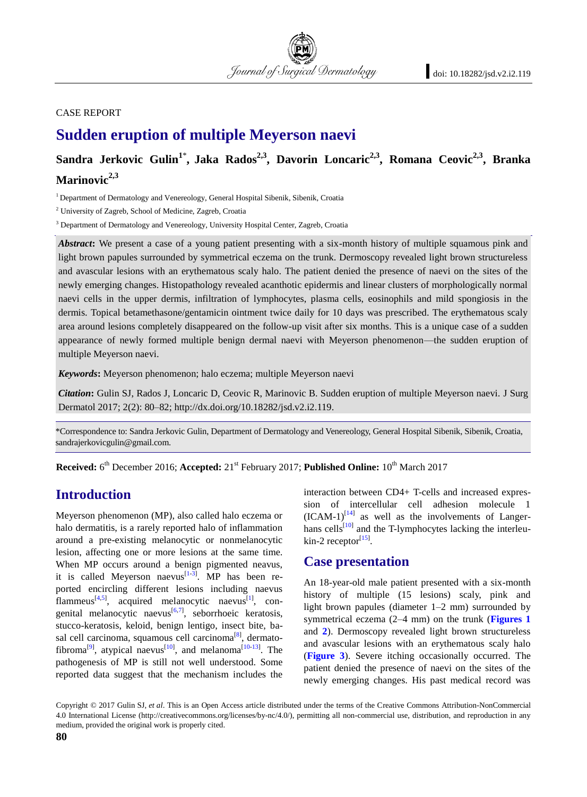#### CASE REPORT

# **Sudden eruption of multiple Meyerson naevi**

## **Sandra Jerkovic Gulin<sup>1</sup>**\* **, Jaka Rados2,3, Davorin Loncaric2,3, Romana Ceovic2,3, Branka Marinovic2,3**

<sup>1</sup> Department of Dermatology and Venereology, General Hospital Sibenik, Sibenik, Croatia

<sup>2</sup> University of Zagreb, School of Medicine, Zagreb, Croatia

<sup>3</sup> Department of Dermatology and Venereology, University Hospital Center, Zagreb, Croatia

Abstract: We present a case of a young patient presenting with a six-month history of multiple squamous pink and light brown papules surrounded by symmetrical eczema on the trunk. Dermoscopy revealed light brown structureless and avascular lesions with an erythematous scaly halo. The patient denied the presence of naevi on the sites of the newly emerging changes. Histopathology revealed acanthotic epidermis and linear clusters of morphologically normal naevi cells in the upper dermis, infiltration of lymphocytes, plasma cells, eosinophils and mild spongiosis in the dermis. Topical betamethasone/gentamicin ointment twice daily for 10 days was prescribed. The erythematous scaly area around lesions completely disappeared on the follow-up visit after six months. This is a unique case of a sudden appearance of newly formed multiple benign dermal naevi with Meyerson phenomenon—the sudden eruption of multiple Meyerson naevi.

*Keywords***:** Meyerson phenomenon; halo eczema; multiple Meyerson naevi

*Citation***:** Gulin SJ, Rados J, Loncaric D, Ceovic R, Marinovic B. Sudden eruption of multiple Meyerson naevi. J Surg Dermatol 2017; 2(2): 80–82; http://dx.doi.org/10.18282/jsd.v2.i2.119.

\*Correspondence to: Sandra Jerkovic Gulin, Department of Dermatology and Venereology, General Hospital Sibenik, Sibenik, Croatia, sandrajerkovicgulin@gmail.com.

**Received:** 6<sup>th</sup> December 2016; **Accepted:** 21<sup>st</sup> February 2017; **Published Online:** 10<sup>th</sup> March 2017

#### **Introduction**

Meyerson phenomenon (MP), also called halo eczema or halo dermatitis, is a rarely reported halo of inflammation around a pre-existing melanocytic or nonmelanocytic lesion, affecting one or more lesions at the same time. When MP occurs around a benign pigmented neavus, it is called Meyerson naevus<sup>[\[1-](#page-2-0)[3\]](#page-2-1)</sup>. MP has been reported encircling different lesions including naevus flammeus<sup>[\[4,](#page-2-2)[5\]](#page-2-3)</sup>, acquired melanocytic naevus<sup>[\[1\]](#page-2-0)</sup>, con-genital melanocytic naevus<sup>[\[6,](#page-2-4)[7\]](#page-2-5)</sup>, seborrhoeic keratosis, stucco-keratosis, keloid, benign lentigo, insect bite, ba-sal cell carcinoma, squamous cell carcinoma<sup>[\[8\]](#page-2-6)</sup>, dermato-fibroma<sup>[\[9\]](#page-2-7)</sup>, atypical naevus<sup>[\[10\]](#page-2-8)</sup>, and melanoma<sup>[\[10-](#page-2-8)[13\]](#page-2-9)</sup>. The pathogenesis of MP is still not well understood. Some reported data suggest that the mechanism includes the

interaction between CD4+ T-cells and increased expression of intercellular cell adhesion molecule 1  $(ICAM-1)^{[14]}$  $(ICAM-1)^{[14]}$  $(ICAM-1)^{[14]}$  as well as the involvements of Langer-hans cells<sup>[\[10\]](#page-2-8)</sup> and the T-lymphocytes lacking the interleu- $\text{kin-2 receptor}^{\left[15\right]}$ .

#### **Case presentation**

An 18-year-old male patient presented with a six-month history of multiple (15 lesions) scaly, pink and light brown papules (diameter 1–2 mm) surrounded by symmetrical eczema (2–4 mm) on the trunk (**[Figures](#page-1-0) 1** and **[2](#page-1-1)**). Dermoscopy revealed light brown structureless and avascular lesions with an erythematous scaly halo (**[Figure 3](#page-1-2)**). Severe itching occasionally occurred. The patient denied the presence of naevi on the sites of the newly emerging changes. His past medical record was

Copyright © 2017 Gulin SJ, *et al*. This is an Open Access article distributed under the terms of the Creative Commons Attribution-NonCommercial 4.0 International License (http://creativecommons.org/licenses/by-nc/4.0/), permitting all non-commercial use, distribution, and reproduction in any medium, provided the original work is properly cited.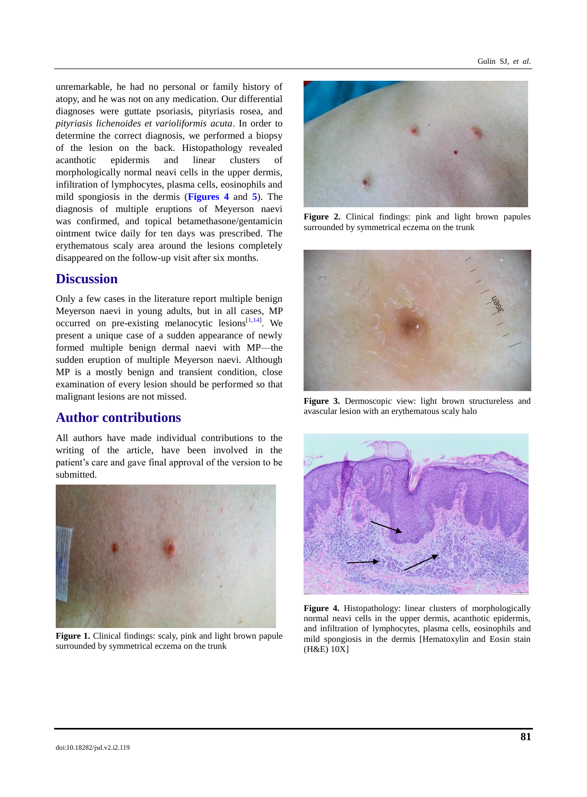unremarkable, he had no personal or family history of atopy, and he was not on any medication. Our differential diagnoses were guttate psoriasis, pityriasis rosea, and *pityriasis lichenoides et varioliformis acuta*. In order to determine the correct diagnosis, we performed a biopsy of the lesion on the back. Histopathology revealed acanthotic epidermis and linear clusters of morphologically normal neavi cells in the upper dermis, infiltration of lymphocytes, plasma cells, eosinophils and mild spongiosis in the dermis (**[Figures](#page-1-3) 4** and **[5](#page-2-12)**). The diagnosis of multiple eruptions of Meyerson naevi was confirmed, and topical betamethasone/gentamicin ointment twice daily for ten days was prescribed. The erythematous scaly area around the lesions completely disappeared on the follow-up visit after six months.

#### **Discussion**

Only a few cases in the literature report multiple benign Meyerson naevi in young adults, but in all cases, MP occurred on pre-existing melanocytic lesions $[1,14]$  $[1,14]$ . We present a unique case of a sudden appearance of newly formed multiple benign dermal naevi with MP—the sudden eruption of multiple Meyerson naevi. Although MP is a mostly benign and transient condition, close examination of every lesion should be performed so that malignant lesions are not missed.

#### **Author contributions**

All authors have made individual contributions to the writing of the article, have been involved in the patient's care and gave final approval of the version to be submitted.

<span id="page-1-0"></span>

**Figure 1.** Clinical findings: scaly, pink and light brown papule surrounded by symmetrical eczema on the trunk



**Figure 2.** Clinical findings: pink and light brown papules surrounded by symmetrical eczema on the trunk

<span id="page-1-1"></span>

**Figure 3.** Dermoscopic view: light brown structureless and avascular lesion with an erythematous scaly halo

<span id="page-1-2"></span>

<span id="page-1-3"></span>**Figure 4.** Histopathology: linear clusters of morphologically normal neavi cells in the upper dermis, acanthotic epidermis, and infiltration of lymphocytes, plasma cells, eosinophils and mild spongiosis in the dermis [Hematoxylin and Eosin stain (H&E) 10X]